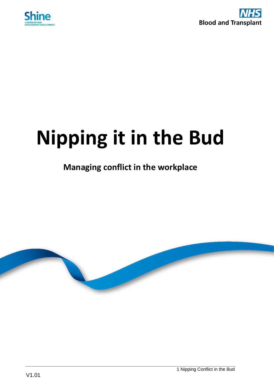



# **Nipping it in the Bud**

## **Managing conflict in the workplace**

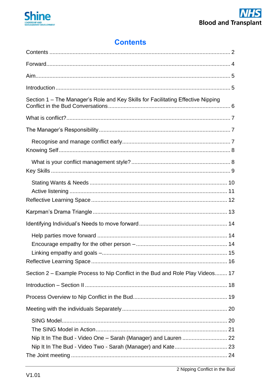

## **Contents**

<span id="page-1-0"></span>

| Section 1 – The Manager's Role and Key Skills for Facilitating Effective Nipping |
|----------------------------------------------------------------------------------|
|                                                                                  |
|                                                                                  |
|                                                                                  |
|                                                                                  |
|                                                                                  |
|                                                                                  |
|                                                                                  |
|                                                                                  |
|                                                                                  |
| Section 2 – Example Process to Nip Conflict in the Bud and Role Play Videos 17   |
|                                                                                  |
|                                                                                  |
|                                                                                  |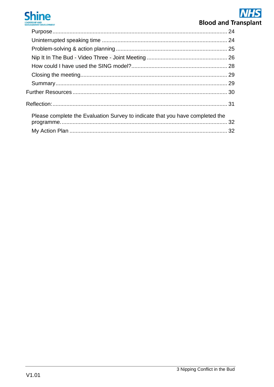

## **NHS Blood and Transplant**

| Please complete the Evaluation Survey to indicate that you have completed the |  |
|-------------------------------------------------------------------------------|--|
|                                                                               |  |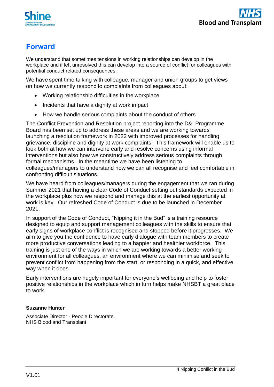

## <span id="page-3-0"></span>**Forward**

We understand that sometimes tensions in working relationships can develop in the workplace and if left unresolved this can develop into a source of conflict for colleagues with potential conduct related consequences.

We have spent time talking with colleague, manager and union groups to get views on how we currently respond to complaints from colleagues about:

- Working relationship difficulties in the workplace
- Incidents that have a dignity at work impact
- How we handle serious complaints about the conduct of others

The Conflict Prevention and Resolution project reporting into the D&I Programme Board has been set up to address these areas and we are working towards launching a resolution framework in 2022 with improved processes for handling grievance, discipline and dignity at work complaints. This framework will enable us to look both at how we can intervene early and resolve concerns using informal interventions but also how we constructively address serious complaints through formal mechanisms. In the meantime we have been listening to colleagues/managers to understand how we can all recognise and feel comfortable in confronting difficult situations.

We have heard from colleagues/managers during the engagement that we ran during Summer 2021 that having a clear Code of Conduct setting out standards expected in the workplace plus how we respond and manage this at the earliest opportunity at work is key. Our refreshed Code of Conduct is due to be launched in December 2021.

In support of the Code of Conduct, "Nipping it in the Bud" is a training resource designed to equip and support management colleagues with the skills to ensure that early signs of workplace conflict is recognised and stopped before it progresses. We aim to give you the confidence to have early dialogue with team members to create more productive conversations leading to a happier and healthier workforce. This training is just one of the ways in which we are working towards a better working environment for all colleagues, an environment where we can minimise and seek to prevent conflict from happening from the start, or responding in a quick, and effective way when it does.

Early interventions are hugely important for everyone's wellbeing and help to foster positive relationships in the workplace which in turn helps make NHSBT a great place to work.

#### **Suzanne Hunter**

Associate Director - People Directorate. NHS Blood and Transplant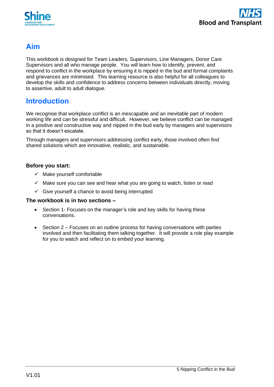

## <span id="page-4-0"></span>**Aim**

This workbook is designed for Team Leaders, Supervisors, Line Managers, Donor Care Supervisors and all who manage people. You will learn how to identify, prevent, and respond to conflict in the workplace by ensuring it is nipped in the bud and formal complaints and grievances are minimised. This learning resource is also helpful for all colleagues to develop the skills and confidence to address concerns between individuals directly, moving to assertive, adult to adult dialogue.

## <span id="page-4-1"></span>**Introduction**

We recognise that workplace conflict is an inescapable and an inevitable part of modern working life and can be stressful and difficult. However, we believe conflict can be managed in a positive and constructive way and nipped in the bud early by managers and supervisors so that it doesn't escalate.

Through managers and supervisors addressing conflict early, those involved often find shared solutions which are innovative, realistic, and sustainable.

#### **Before you start:**

- $\checkmark$  Make vourself comfortable
- $\checkmark$  Make sure you can see and hear what you are going to watch, listen or read
- $\checkmark$  Give yourself a chance to avoid being interrupted

#### **The workbook is in two sections –**

- Section 1- Focuses on the manager's role and key skills for having these conversations.
- Section 2 Focuses on an outline process for having conversations with parties involved and then facilitating them talking together. It will provide a role play example for you to watch and reflect on to embed your learning.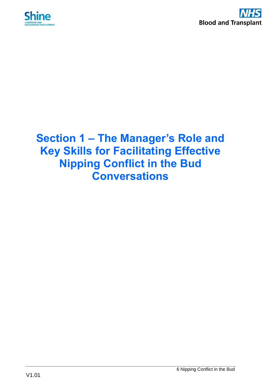

## <span id="page-5-0"></span>**Section 1 – The Manager's Role and Key Skills for Facilitating Effective Nipping Conflict in the Bud Conversations**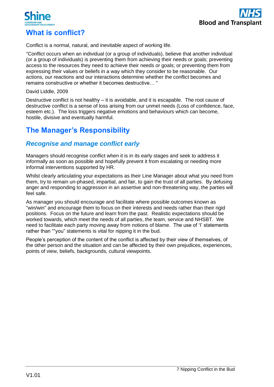



<span id="page-6-0"></span>Conflict is a normal, natural, and inevitable aspect of working life.

"Conflict occurs when an individual (or a group of individuals), believe that another individual (or a group of individuals) is preventing them from achieving their needs or goals; preventing access to the resources they need to achieve their needs or goals; or preventing them from expressing their values or beliefs in a way which they consider to be reasonable. Our actions, our reactions and our interactions determine whether the conflict becomes and remains constructive or whether it becomes destructive… "

David Liddle, 2009

Destructive conflict is not healthy – it is avoidable, and it is escapable. The root cause of destructive conflict is a sense of loss arising from our unmet needs (Loss of confidence, face, esteem etc.). The loss triggers negative emotions and behaviours which can become, hostile, divisive and eventually harmful.

## <span id="page-6-1"></span>**The Manager's Responsibility**

#### <span id="page-6-2"></span>*Recognise and manage conflict early*

Managers should recognise conflict when it is in its early stages and seek to address it informally as soon as possible and hopefully prevent it from escalating or needing more informal interventions supported by HR.

Whilst clearly articulating your expectations as their Line Manager about what you need from them, try to remain un-phased, impartial, and fair, to gain the trust of all parties. By defusing anger and responding to aggression in an assertive and non-threatening way, the parties will feel safe.

As manager you should encourage and facilitate where possible outcomes known as "win/win" and encourage them to focus on their interests and needs rather than their rigid positions. Focus on the future and learn from the past. Realistic expectations should be worked towards, which meet the needs of all parties, the team, service and NHSBT. We need to facilitate each party moving away from notions of blame. The use of 'I' statements rather than ""you" statements is vital for nipping it in the bud.

People's perception of the content of the conflict is affected by their view of themselves, of the other person and the situation and can be affected by their own prejudices, experiences, points of view, beliefs, backgrounds, cultural viewpoints.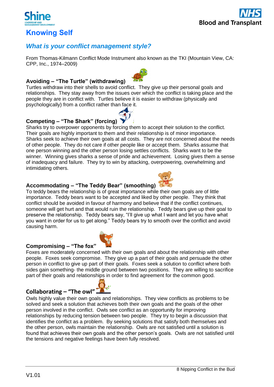## <span id="page-7-0"></span>**Knowing Self**

## <span id="page-7-1"></span>*What is your conflict management style?*

From Thomas-Kilmann Conflict Mode Instrument also known as the TKI (Mountain View, CA: CPP, Inc., 1974–2009)

#### **Avoiding – "The Turtle" (withdrawing)**

Turtles withdraw into their shells to avoid conflict. They give up their personal goals and relationships. They stay away from the issues over which the conflict is taking place and the people they are in conflict with. Turtles believe it is easier to withdraw (physically and psychologically) from a conflict rather than face it.

#### **Competing – "The Shark" (forcing)**

Sharks try to overpower opponents by forcing them to accept their solution to the conflict. Their goals are highly important to them and their relationship is of minor importance. Sharks seek to achieve their own goals at all costs. They are not concerned about the needs of other people. They do not care if other people like or accept them. Sharks assume that one person winning and the other person losing settles conflicts. Sharks want to be the winner. Winning gives sharks a sense of pride and achievement. Losing gives them a sense of inadequacy and failure. They try to win by attacking, overpowering, overwhelming and intimidating others.

#### **Accommodating – "The Teddy Bear" (smoothing)**

To teddy bears the relationship is of great importance while their own goals are of little importance. Teddy bears want to be accepted and liked by other people. They think that conflict should be avoided in favour of harmony and believe that if the conflict continues, someone will get hurt and that would ruin the relationship. Teddy bears give up their goal to preserve the relationship. Teddy bears say, "I'll give up what I want and let you have what you want in order for us to get along." Teddy bears try to smooth over the conflict and avoid causing harm.

#### **Compromising – "The fox"**

Foxes are moderately concerned with their own goals and about the relationship with other people. Foxes seek compromise. They give up a part of their goals and persuade the other person in conflict to give up part of their goals. Foxes seek a solution to conflict where both sides gain something- the middle ground between two positions. They are willing to sacrifice part of their goals and relationships in order to find agreement for the common good.

## **Collaborating – "The owl"**

Owls highly value their own goals and relationships. They view conflicts as problems to be solved and seek a solution that achieves both their own goals and the goals of the other person involved in the conflict. Owls see conflict as an opportunity for improving relationships by reducing tension between two people. They try to begin a discussion that identifies the conflict as a problem. By seeking solutions that satisfy both themselves and the other person, owls maintain the relationship. Owls are not satisfied until a solution is found that achieves their own goals and the other person's goals. Owls are not satisfied until the tensions and negative feelings have been fully resolved.

## **Blood and Transplant**





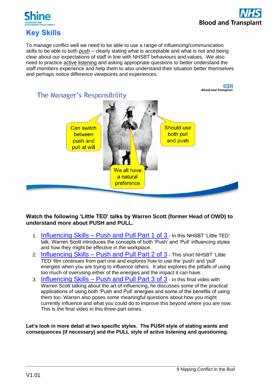



#### <span id="page-8-0"></span>To manage conflict well we need to be able to use a range of influencing/communication skills to be able to both push – clearly stating what is acceptable and what is not and being clear about our expectations of staff in line with NHSBT behaviours and values. We also need to practice active listening and asking appropriate questions to better understand the staff members experience and help them to also understand their situation better themselves and perhaps notice difference viewpoints and experiences.



**Watch the following 'Little TED' talks by Warren Scott (former Head of OWD) to understand more about PUSH and PULL.**

- 1. Influencing Skills [Push and Pull Part 1 of 3](https://www.youtube.com/watch?v=FW_rKqS2BaA) In this NHSBT 'Little TED' talk, Warren Scott introduces the concepts of both 'Push' and 'Pull' influencing styles and how they might be effective in the workplace.
- 2. Influencing Skills [Push and Pull Part 2 of 3](https://www.youtube.com/watch?v=Jxbpg0eZuwg) This short NHSBT 'Little TED' film continues from part one and explores how to use the 'push' and 'pull' energies when you are trying to influence others. It also explores the pitfalls of using too much of overusing either of the energies and the impact it can have.
- 3. Influencing Skills [Push and Pull Part 3 of 3](https://www.youtube.com/watch?v=rTxnxpbDQlA) In this final video with Warren Scott talking about the art of influencing, he discusses some of the practical applications of using both 'Push and Pull' energies and some of the benefits of using them too. Warren also poses some meaningful questions about how you might currently influence and what you could do to improve this beyond where you are now. This is the final video in this three-part series.

**Let's look in more detail at two specific styles. The PUSH style of stating wants and consequences (if necessary) and the PULL style of active listening and questioning.**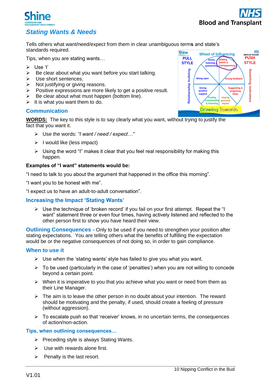



## <span id="page-9-0"></span>*Stating Wants & Needs*

Tells others what want/need/expect from them in clear unambiguous term**s** and state's standards required.

Tips, when you are stating wants…

- ➢ Use 'I'
- $\triangleright$  Be clear about what you want before you start talking.
- ➢ Use short sentences.
- $\triangleright$  Not justifying or giving reasons.
- $\triangleright$  Positive expressions are more likely to get a positive result.
- $\triangleright$  Be clear about what must happen (bottom line).
- $\triangleright$  It is what you want them to do.

#### **Communication**

**WORDS:** The key to this style is to say clearly what you want, without trying to justify the fact that you want it.

- ➢ Use the words: *"I want / need / expect…"*
- ➢ I would like (less impact)
- $\triangleright$  Using the word "I" makes it clear that you feel real responsibility for making this happen.

#### **Examples of "I want" statements would be:**

"I need to talk to you about the argument that happened in the office this morning".

"I want you to be honest with me".

"I expect us to have an adult-to-adult conversation".

#### **Increasing the Impact 'Stating Wants'**

 $\triangleright$  Use the technique of 'broken record' if you fail on your first attempt. Repeat the "I want" statement three or even four times, having actively listened and reflected to the other person first to show you have heard their view.

**Outlining Consequences -** Only to be used if you need to strengthen your position after stating expectations. You are telling others what the benefits of fulfilling the expectation would be or the negative consequences of not doing so, in order to gain compliance.

#### **When to use it**

- $\triangleright$  Use when the 'stating wants' style has failed to give you what you want.
- ➢ To be used (particularly in the case of 'penalties') when you are not willing to concede beyond a certain point.
- $\triangleright$  When it is imperative to you that you achieve what you want or need from them as their Line Manager.
- $\triangleright$  The aim is to leave the other person in no doubt about your intention. The reward should be motivating and the penalty, if used, should create a feeling of pressure (without aggression).
- $\triangleright$  To escalate push so that 'receiver' knows, in no uncertain terms, the consequences of action/non-action.

#### **Tips, when outlining consequences…**

- $\triangleright$  Preceding style is always Stating Wants.
- $\triangleright$  Use with rewards alone first.
- $\triangleright$  Penalty is the last resort.

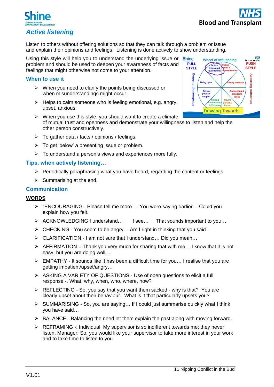

#### <span id="page-10-0"></span>*Active listening*

Listen to others without offering solutions so that they can talk through a problem or issue and explain their opinions and feelings. Listening is done actively to show understanding.

Using this style will help you to understand the underlying issue or problem and should be used to deepen your awareness of facts and feelings that might otherwise not come to your attention.

#### **When to use it**

- ➢ When you need to clarify the points being discussed or when misunderstandings might occur.
- $\triangleright$  Helps to calm someone who is feeling emotional, e.g. angry, upset, anxious.
- ➢ When you use this style, you should want to create a climate of mutual trust and openness and demonstrate your willingness to listen and help the other person constructively.
- $\triangleright$  To gather data / facts / opinions / feelings.
- $\triangleright$  To get 'below' a presenting issue or problem.
- ➢ To understand a person's views and experiences more fully.

#### **Tips, when actively listening…**

- $\triangleright$  Periodically paraphrasing what you have heard, regarding the content or feelings.
- $\triangleright$  Summarising at the end.

#### **Communication**

#### **WORDS**

- ➢ "ENCOURAGING Please tell me more…. You were saying earlier… Could you explain how you felt.
- ➢ ACKNOWLEDGING I understand… I see… That sounds important to you…
- ➢ CHECKING You seem to be angry… Am I right in thinking that you said…
- ➢ CLARIFICATION I am not sure that I understand… Did you mean…
- $\triangleright$  AFFIRMATION = Thank you very much for sharing that with me... I know that it is not easy, but you are doing well…
- $\triangleright$  EMPATHY It sounds like it has been a difficult time for you... I realise that you are getting impatient/upset/angry…
- ➢ ASKING A VARIETY OF QUESTIONS Use of open questions to elicit a full response -. What, why, when, who, where, how?
- ➢ REFLECTING So, you say that you want them sacked why is that? You are clearly upset about their behaviour. What is it that particularly upsets you?
- ➢ SUMMARISING So, you are saying… If I could just summarise quickly what I think you have said…
- $\triangleright$  BALANCE Balancing the need let them explain the past along with moving forward.
- $\triangleright$  REFRAMING -: Individual: My supervisor is so indifferent towards me; they never listen. Manager: So, you would like your supervisor to take more interest in your work and to take time to listen to you.

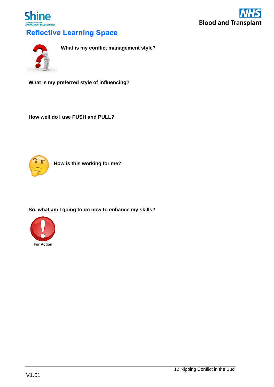



## <span id="page-11-0"></span>**Reflective Learning Space**



**What is my conflict management style?** 

**What is my preferred style of influencing?**

**How well do I use PUSH and PULL?**



**How is this working for me?**

**So, what am I going to do now to enhance my skills?**

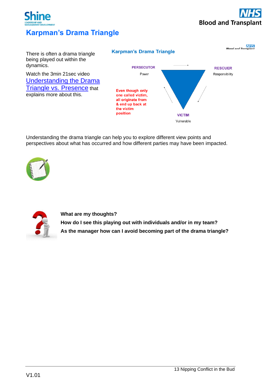

# **Blood and Transplant**

<span id="page-12-0"></span>

Understanding the drama triangle can help you to explore different view points and perspectives about what has occurred and how different parties may have been impacted.





**What are my thoughts? How do I see this playing out with individuals and/or in my team? As the manager how can I avoid becoming part of the drama triangle?**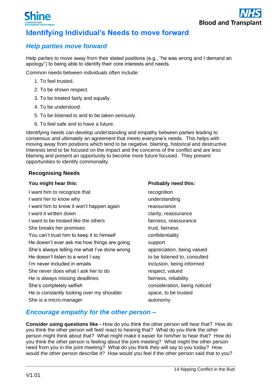



## <span id="page-13-0"></span>**Identifying Individual's Needs to move forward**

## <span id="page-13-1"></span>*Help parties move forward*

Help parties to move away from their stated positions (e.g., "he was wrong and I demand an apology") to being able to identify their core interests and needs.

Common needs between individuals often include:

- 1. To feel trusted.
- 2. To be shown respect.
- 3. To be treated fairly and equally.
- 4. To be understood.
- 5. To be listened to and to be taken seriously.
- 6. To feel safe and to have a future.

Identifying needs can develop understanding and empathy between parties leading to consensus and ultimately an agreement that meets everyone's needs. This helps with moving away from positions which tend to be negative, blaming, historical and destructive. Interests tend to be focused on the impact and the concerns of the conflict and are less blaming and present an opportunity to become more future focused. They present opportunities to identify commonality.

#### **Recognising Needs**

#### **You might hear this: Probably need this:**

I want him to recognize that **reading** recognition I want her to know why understanding I want him to know it won't happen again reassurance I want it written down and the clarity, reassurance I want to be treated like the others **fairness**, reassurance She breaks her promises trust, fairness You can't trust him to keep it to himself confidentiality He doesn't ever ask me how things are going support She's always telling me what I've done wrong appreciation, being valued He doesn't listen to a word I say the state of to be listened to, consulted I'm never included in emails inclusion, being informed She never does what I ask her to do respect, valued He is always missing deadlines fairness, reliability She's completely selfish consideration, being noticed He is constantly looking over my shoulder space, to be trusted She is a micro-manager autonomy

## <span id="page-13-2"></span>*Encourage empathy for the other person –*

**Consider using questions like -** How do you think the other person will hear that? How do you think the other person will feel/ react to hearing that? What do you think the other person might think about that? What might make it easier for him/her to hear that? How do you think the other person is feeling about the joint meeting? What might the other person need from you in the joint meeting? What do you think they will say to you today? How would the other person describe it? How would you feel if the other person said that to you?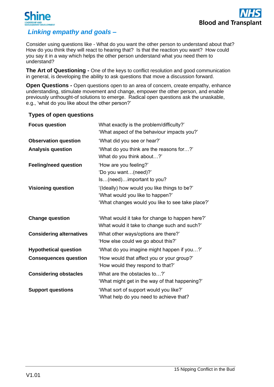

#### <span id="page-14-0"></span>*Linking empathy and goals –*

Consider using questions like - What do you want the other person to understand about that? How do you think they will react to hearing that? Is that the reaction you want? How could you say it in a way which helps the other person understand what you need them to understand?

**The Art of Questioning -** One of the keys to conflict resolution and good communication in general, is developing the ability to ask questions that move a discussion forward.

**Open Questions -** Open questions open to an area of concern, create empathy, enhance understanding, stimulate movement and change, empower the other person, and enable previously unthought-of solutions to emerge. Radical open questions ask the unaskable, e.g., 'what do you like about the other person?'

#### **Types of open questions**

| <b>Focus question</b>           | What exactly is the problem/difficulty?'<br>'What aspect of the behaviour impacts you?'                                              |
|---------------------------------|--------------------------------------------------------------------------------------------------------------------------------------|
| <b>Observation question</b>     | 'What did you see or hear?'                                                                                                          |
| <b>Analysis question</b>        | 'What do you think are the reasons for?'<br>What do you think about?'                                                                |
| <b>Feeling/need question</b>    | 'How are you feeling?'<br>'Do you want(need)?'<br>Is(need)important to you?                                                          |
| <b>Visioning question</b>       | '(Ideally) how would you like things to be?'<br>'What would you like to happen?'<br>'What changes would you like to see take place?' |
| <b>Change question</b>          | 'What would it take for change to happen here?'<br>What would it take to change such and such?'                                      |
| <b>Considering alternatives</b> | What other ways/options are there?'<br>'How else could we go about this?'                                                            |
| <b>Hypothetical question</b>    | 'What do you imagine might happen if you?'                                                                                           |
| <b>Consequences question</b>    | 'How would that affect you or your group?'<br>'How would they respond to that?'                                                      |
| <b>Considering obstacles</b>    | What are the obstacles to?'<br>'What might get in the way of that happening?'                                                        |
| <b>Support questions</b>        | 'What sort of support would you like?'<br>'What help do you need to achieve that?                                                    |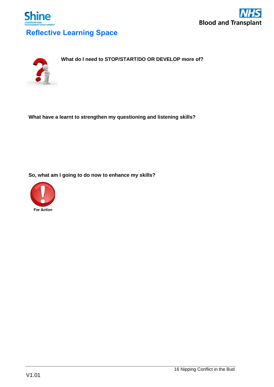<span id="page-15-0"></span>



#### **What do I need to STOP/START/DO OR DEVELOP more of?**



**What have a learnt to strengthen my questioning and listening skills?**

**So, what am I going to do now to enhance my skills?**

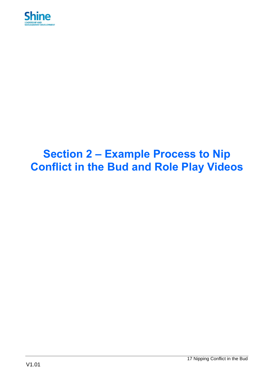

## <span id="page-16-0"></span>**Section 2 – Example Process to Nip Conflict in the Bud and Role Play Videos**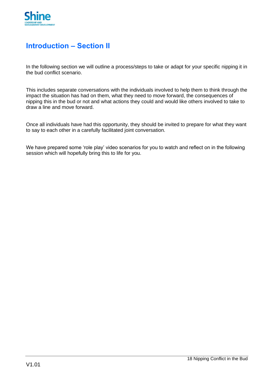

## <span id="page-17-0"></span>**Introduction – Section II**

In the following section we will outline a process/steps to take or adapt for your specific nipping it in the bud conflict scenario.

This includes separate conversations with the individuals involved to help them to think through the impact the situation has had on them, what they need to move forward, the consequences of nipping this in the bud or not and what actions they could and would like others involved to take to draw a line and move forward.

Once all individuals have had this opportunity, they should be invited to prepare for what they want to say to each other in a carefully facilitated joint conversation.

We have prepared some 'role play' video scenarios for you to watch and reflect on in the following session which will hopefully bring this to life for you.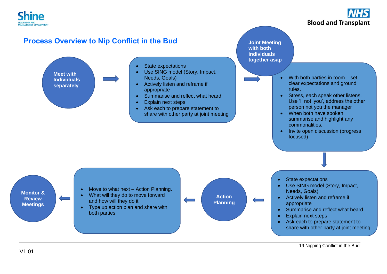

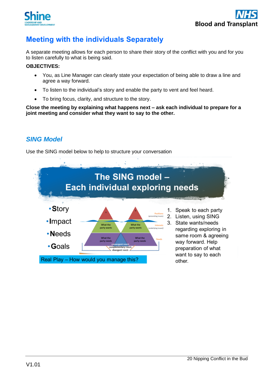

## <span id="page-19-0"></span>**Meeting with the individuals Separately**

A separate meeting allows for each person to share their story of the conflict with you and for you to listen carefully to what is being said.

#### **OBJECTIVES:**

- You, as Line Manager can clearly state your expectation of being able to draw a line and agree a way forward.
- To listen to the individual's story and enable the party to vent and feel heard.
- To bring focus, clarity, and structure to the story.

**Close the meeting by explaining what happens next – ask each individual to prepare for a joint meeting and consider what they want to say to the other.**

## <span id="page-19-1"></span>*SING Model*

Use the SING model below to help to structure your conversation

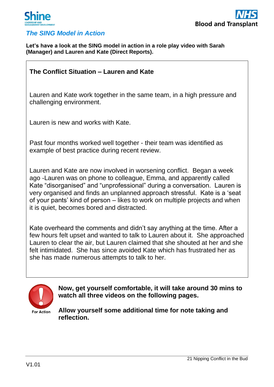



#### <span id="page-20-0"></span>*The SING Model in Action*

**Let's have a look at the SING model in action in a role play video with Sarah (Manager) and Lauren and Kate (Direct Reports).** 

## **The Conflict Situation – Lauren and Kate**

Lauren and Kate work together in the same team, in a high pressure and challenging environment.

Lauren is new and works with Kate.

Past four months worked well together - their team was identified as example of best practice during recent review.

Lauren and Kate are now involved in worsening conflict. Began a week ago -Lauren was on phone to colleague, Emma, and apparently called Kate "disorganised" and "unprofessional" during a conversation. Lauren is very organised and finds an unplanned approach stressful. Kate is a 'seat of your pants' kind of person – likes to work on multiple projects and when it is quiet, becomes bored and distracted.

Kate overheard the comments and didn't say anything at the time. After a few hours felt upset and wanted to talk to Lauren about it. She approached Lauren to clear the air, but Lauren claimed that she shouted at her and she felt intimidated. She has since avoided Kate which has frustrated her as she has made numerous attempts to talk to her.



**Now, get yourself comfortable, it will take around 30 mins to watch all three videos on the following pages.**

**Allow yourself some additional time for note taking and reflection.**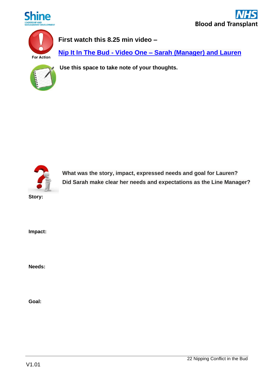



**First watch this 8.25 min video –**

<span id="page-21-0"></span>**[Nip It In The Bud -](https://web.microsoftstream.com/video/e6d0a576-96d6-4bd3-b48d-25b5a77224c2) Video One – Sarah (Manager) and Lauren**



**Use this space to take note of your thoughts.**



**What was the story, impact, expressed needs and goal for Lauren? Did Sarah make clear her needs and expectations as the Line Manager?**

**Story:**

**Impact:**

**Needs:**

**Goal:**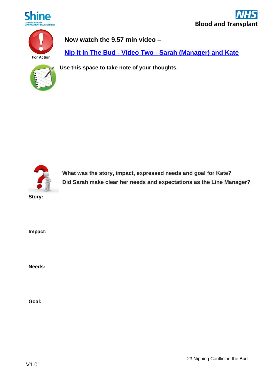





**Now watch the 9.57 min video –**

<span id="page-22-0"></span>**Nip It In The Bud - Video Two - [Sarah \(Manager\) and Kate](https://web.microsoftstream.com/video/c29c0f9e-d44f-420d-905d-d316d3566456)**



**Use this space to take note of your thoughts.**



**What was the story, impact, expressed needs and goal for Kate? Did Sarah make clear her needs and expectations as the Line Manager?**

**Story:**

**Impact:**

**Needs:**

**Goal:**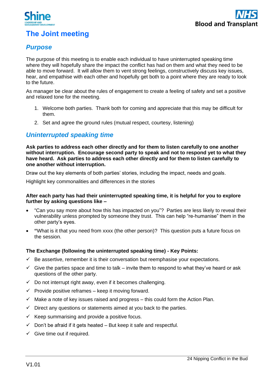

## <span id="page-23-0"></span>**The Joint meeting**

## <span id="page-23-1"></span>*Purpose*

The purpose of this meeting is to enable each individual to have uninterrupted speaking time where they will hopefully share the impact the conflict has had on them and what they need to be able to move forward. It will allow them to vent strong feelings, constructively discuss key issues, hear, and empathise with each other and hopefully get both to a point where they are ready to look to the future.

As manager be clear about the rules of engagement to create a feeling of safety and set a positive and relaxed tone for the meeting.

- 1. Welcome both parties. Thank both for coming and appreciate that this may be difficult for them.
- 2. Set and agree the ground rules (mutual respect, courtesy, listening)

#### <span id="page-23-2"></span>*Uninterrupted speaking time*

**Ask parties to address each other directly and for them to listen carefully to one another without interruption. Encourage second party to speak and not to respond yet to what they have heard. Ask parties to address each other directly and for them to listen carefully to one another without interruption.** 

Draw out the key elements of both parties' stories, including the impact, needs and goals.

Highlight key commonalities and differences in the stories

#### **After each party has had their uninterrupted speaking time, it is helpful for you to explore further by asking questions like –**

- "Can you say more about how this has impacted on you"? Parties are less likely to reveal their vulnerability unless prompted by someone they trust. This can help "re-humanise" them in the other party's eyes.
- **"**What is it that you need from xxxx (the other person)? This question puts a future focus on the session.

#### **The Exchange (following the uninterrupted speaking time) - Key Points:**

- $\checkmark$  Be assertive, remember it is their conversation but reemphasise your expectations.
- $\checkmark$  Give the parties space and time to talk invite them to respond to what they've heard or ask questions of the other party.
- $\checkmark$  Do not interrupt right away, even if it becomes challenging.
- $\checkmark$  Provide positive reframes keep it moving forward.
- $\checkmark$  Make a note of key issues raised and progress this could form the Action Plan.
- $\checkmark$  Direct any questions or statements aimed at you back to the parties.
- $\checkmark$  Keep summarising and provide a positive focus.
- $\checkmark$  Don't be afraid if it gets heated But keep it safe and respectful.
- $\checkmark$  Give time out if required.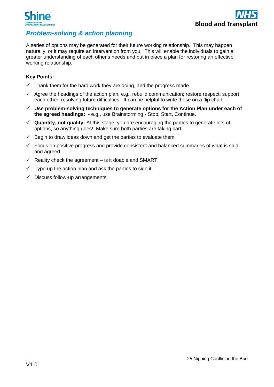



## <span id="page-24-0"></span>*Problem-solving & action planning*

A series of options may be generated for their future working relationship. This may happen naturally, or it may require an intervention from you. This will enable the individuals to gain a greater understanding of each other's needs and put in place a plan for restoring an effective working relationship.

#### **Key Points:**

- $\checkmark$  Thank them for the hard work they are doing, and the progress made.
- $\checkmark$  Agree the headings of the action plan, e.g., rebuild communication; restore respect; support each other; resolving future difficulties. It can be helpful to write these on a flip chart.
- ✓ **Use problem-solving techniques to generate options for the Action Plan under each of the agreed headings:** - e.g., use Brainstorming - Stop, Start, Continue.
- ✓ **Quantity, not quality:** At this stage, you are encouraging the parties to generate lots of options, so anything goes! Make sure both parties are taking part.
- $\checkmark$  Begin to draw ideas down and get the parties to evaluate them.
- $\checkmark$  Focus on positive progress and provide consistent and balanced summaries of what is said and agreed.
- $\checkmark$  Reality check the agreement is it doable and SMART.
- $\checkmark$  Type up the action plan and ask the parties to sign it.
- $\checkmark$  Discuss follow-up arrangements.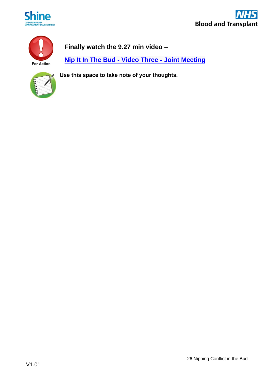





**Finally watch the 9.27 min video –**

<span id="page-25-0"></span>**[Nip It In The Bud -](https://web.microsoftstream.com/video/11aa06ed-2571-4cb6-9d60-92e13fc6faca) Video Three - Joint Meeting**



**Use this space to take note of your thoughts.**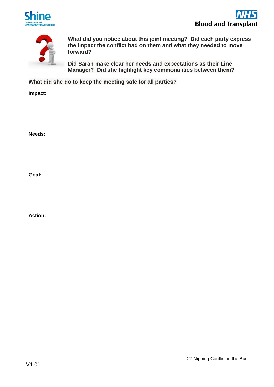





**What did you notice about this joint meeting? Did each party express the impact the conflict had on them and what they needed to move forward?**

**Did Sarah make clear her needs and expectations as their Line Manager? Did she highlight key commonalities between them?**

**What did she do to keep the meeting safe for all parties?**

**Impact:**

**Needs:**

**Goal:**

**Action:**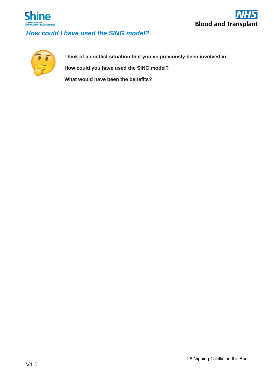



#### <span id="page-27-0"></span>*How could I have used the SING model?*



**Think of a conflict situation that you've previously been involved in – How could you have used the SING model? What would have been the benefits?**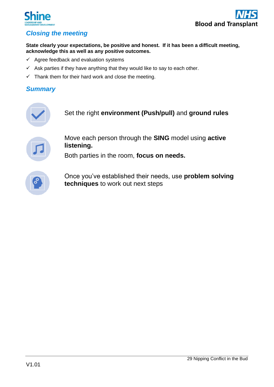



## <span id="page-28-0"></span>*Closing the meeting*

**State clearly your expectations, be positive and honest. If it has been a difficult meeting, acknowledge this as well as any positive outcomes.** 

- $\checkmark$  Agree feedback and evaluation systems
- $\checkmark$  Ask parties if they have anything that they would like to say to each other.
- $\checkmark$  Thank them for their hard work and close the meeting.

#### <span id="page-28-1"></span>*Summary*



Set the right **environment (Push/pull)** and **ground rules**



Move each person through the **SING** model using **active listening.**

Both parties in the room, **focus on needs.**



Once you've established their needs, use **problem solving techniques** to work out next steps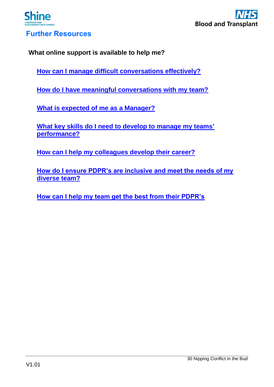

## <span id="page-29-0"></span>**What online support is available to help me?**

**[How can I manage difficult conversations effectively?](https://peoplefirst.nhsbt.nhs.uk/NHSBT-DOCUMENT-LIBRARY/HSW/BDF-Guide-Managing-difficult-Conversations.pdf)**

**[How do I have meaningful conversations with my team?](https://peoplefirst.nhsbt.nhs.uk/NHSBT-DOCUMENT-LIBRARY/Learning-Development/Guidance-Quality-PDPR-through-Meaningful-Conversations-guidance.pdf)**

**[What is expected of me as a Manager?](https://nhsbloodandtransplant.sharepoint.com/sites/DigitalLearningHub/SitePages/Performance%20Management%20Resources.aspx)**

**[What key skills do I need to develop to manage my teams'](https://peoplefirst.nhsbt.nhs.uk/Learning-and-Development/developing-your-team-activities-and-resources.htm) [performance?](https://peoplefirst.nhsbt.nhs.uk/Learning-and-Development/developing-your-team-activities-and-resources.htm)**

**[How can I help my colleagues develop their career?](https://peoplefirst.nhsbt.nhs.uk/Learning-and-Development/career-development-toolkit.htm)**

**[How do I ensure PDPR's are inclusive and meet the needs of my](https://peoplefirst.nhsbt.nhs.uk/Diversity-and-Inclusion/)  [diverse team?](https://peoplefirst.nhsbt.nhs.uk/Diversity-and-Inclusion/)**

**[How can I help my team get the best from their PDPR's](https://nhsbloodandtransplant.sharepoint.com/sites/DigitalLearningHub/SitePages/Performance%20Management%20Resources.aspx)**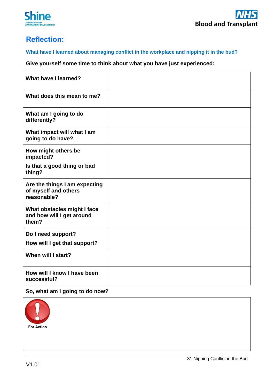

## <span id="page-30-0"></span>**Reflection:**

#### **What have I learned about managing conflict in the workplace and nipping it in the bud?**

#### **Give yourself some time to think about what you have just experienced:**

| What have I learned?                                                 |  |
|----------------------------------------------------------------------|--|
| What does this mean to me?                                           |  |
| What am I going to do<br>differently?                                |  |
| What impact will what I am<br>going to do have?                      |  |
| How might others be<br>impacted?                                     |  |
| Is that a good thing or bad<br>thing?                                |  |
| Are the things I am expecting<br>of myself and others<br>reasonable? |  |
| What obstacles might I face<br>and how will I get around<br>them?    |  |
| Do I need support?                                                   |  |
| How will I get that support?                                         |  |
| When will I start?                                                   |  |
| How will I know I have been<br>successful?                           |  |

#### **So, what am I going to do now?**